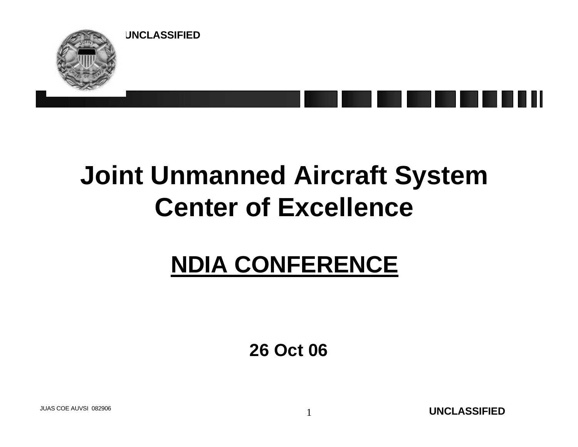

### **Joint Unmanned Aircraft System Center of Excellence**

### **NDIA CONFERENCE**

**26 Oct 06**

**UNCLASSIFIED** JUAS COE AUVSI 082906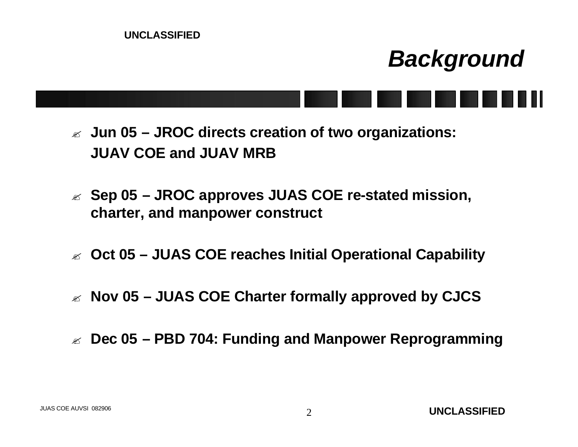#### *Background*

- ? **Jun 05 – JROC directs creation of two organizations: JUAV COE and JUAV MRB**
- ? **Sep 05 – JROC approves JUAS COE re-stated mission, charter, and manpower construct**
- ? **Oct 05 – JUAS COE reaches Initial Operational Capability**
- ? **Nov 05 – JUAS COE Charter formally approved by CJCS**
- ? **Dec 05 – PBD 704: Funding and Manpower Reprogramming**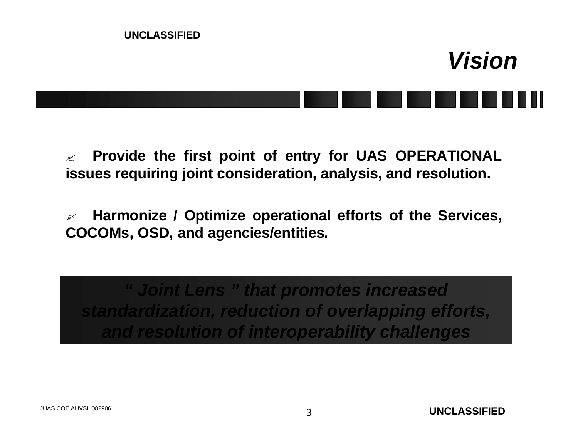

? **Provide the first point of entry for UAS OPERATIONAL issues requiring joint consideration, analysis, and resolution.** 

? **Harmonize / Optimize operational efforts of the Services, COCOMs, OSD, and agencies/entities.**

*" Joint Lens " that promotes increased standardization, reduction of overlapping efforts, and resolution of interoperability challenges*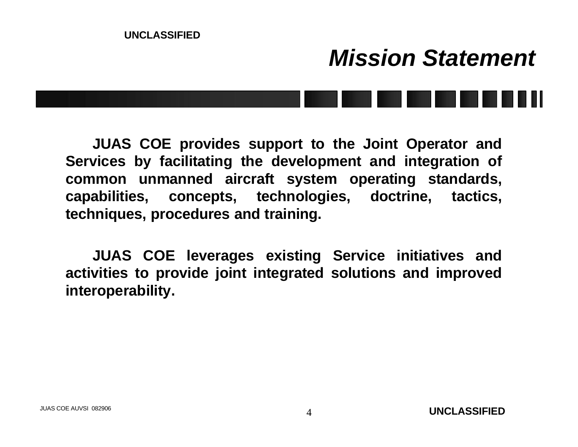# **UNCLASSIFIED** *Mission Statement*

**JUAS COE provides support to the Joint Operator and Services by facilitating the development and integration of common unmanned aircraft system operating standards, capabilities, concepts, technologies, doctrine, tactics, techniques, procedures and training.** 

**JUAS COE leverages existing Service initiatives and activities to provide joint integrated solutions and improved interoperability.**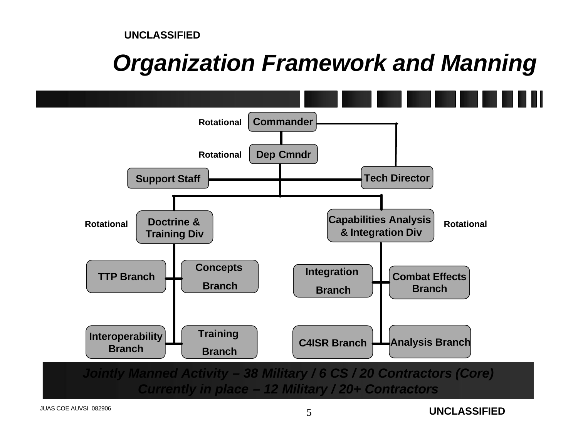### *Organization Framework and Manning*



*Currently in place – 12 Military / 20+ Contractors*

**UNCLASSIFIED**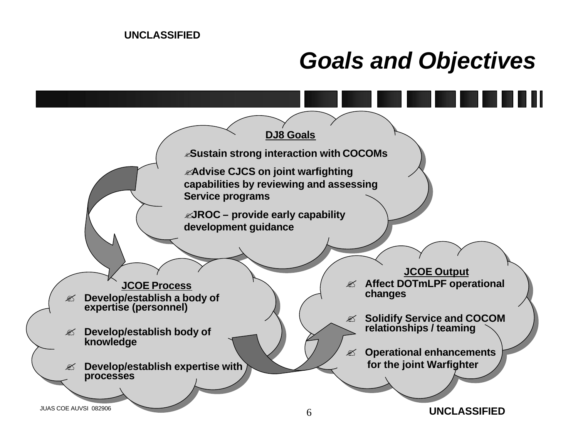### *Goals and Objectives*

![](_page_5_Figure_2.jpeg)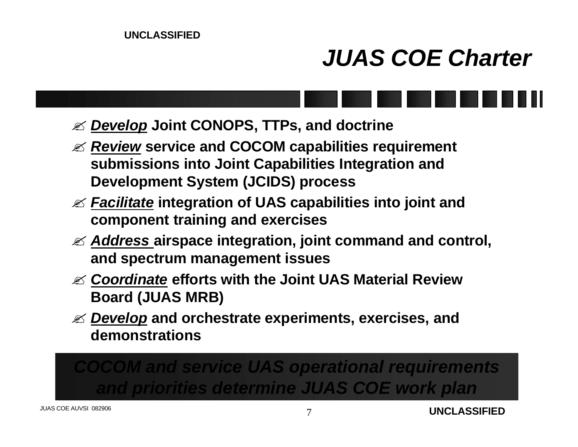### *JUAS COE Charter*

- ? *Develop* **Joint CONOPS, TTPs, and doctrine**
- ? *Review* **service and COCOM capabilities requirement submissions into Joint Capabilities Integration and Development System (JCIDS) process**
- ? *Facilitate* **integration of UAS capabilities into joint and component training and exercises**
- ? *Address* **airspace integration, joint command and control, and spectrum management issues**
- ? *Coordinate* **efforts with the Joint UAS Material Review Board (JUAS MRB)**
- ? *Develop* **and orchestrate experiments, exercises, and demonstrations**

*COCOM and service UAS operational requirements and priorities determine JUAS COE work plan*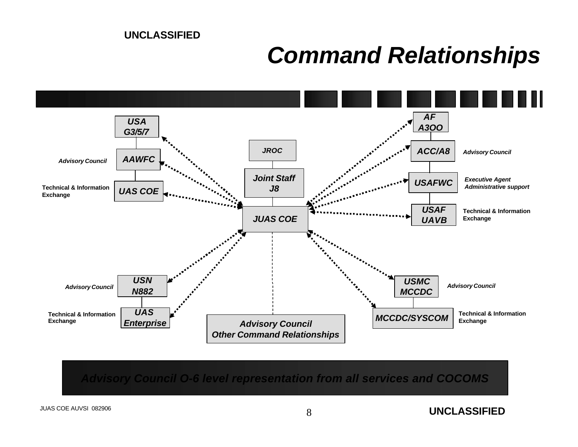#### *Command Relationships*

![](_page_7_Figure_2.jpeg)

*Advisory Council O-6 level representation from all services and COCOMS*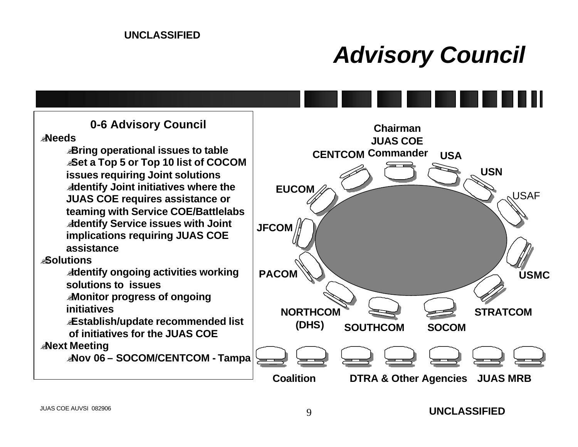### *Advisory Council*

**0-6 Advisory Council**

#### ?**Needs**

?**Bring operational issues to table** ?**Set a Top 5 or Top 10 list of COCOM issues requiring Joint solutions** ?**Identify Joint initiatives where the JUAS COE requires assistance or teaming with Service COE/Battlelabs** ?**Identify Service issues with Joint implications requiring JUAS COE assistance** 

#### ?**Solutions**

?**Identify ongoing activities working solutions to issues**

?**Monitor progress of ongoing initiatives**

?**Establish/update recommended list of initiatives for the JUAS COE**

#### ?**Next Meeting**

?**Nov 06 – SOCOM/CENTCOM - Tampa**

![](_page_8_Figure_11.jpeg)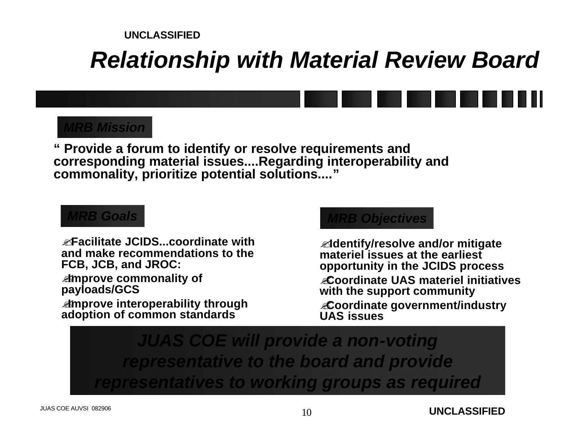### *Relationship with Material Review Board*

![](_page_9_Figure_2.jpeg)

#### *MRB Mission*

**" Provide a forum to identify or resolve requirements and corresponding material issues....Regarding interoperability and commonality, prioritize potential solutions...."**

#### *MRB Goals*

?**Facilitate JCIDS...coordinate with and make recommendations to the FCB, JCB, and JROC:**

?**Improve commonality of payloads/GCS**

?**Improve interoperability through adoption of common standards**

#### *MRB Objectives*

?**Identify/resolve and/or mitigate materiel issues at the earliest opportunity in the JCIDS process** ?**Coordinate UAS materiel initiatives with the support community**  ?**Coordinate government/industry UAS issues**

*JUAS COE will provide a non-voting representative to the board and provide representatives to working groups as required*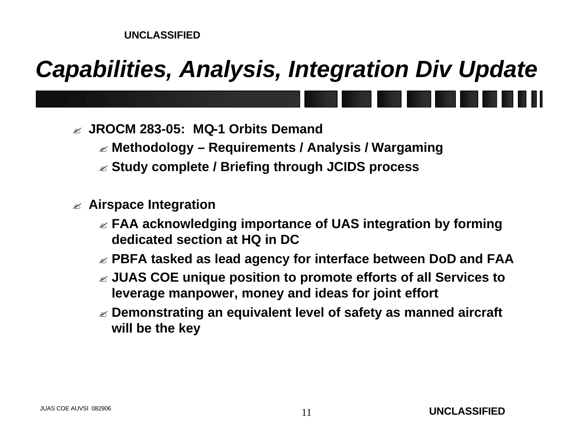### *Capabilities, Analysis, Integration Div Update*

- ? **JROCM 283-05: MQ-1 Orbits Demand**
	- ? **Methodology – Requirements / Analysis / Wargaming**
	- ? **Study complete / Briefing through JCIDS process**
- ? **Airspace Integration** 
	- ? **FAA acknowledging importance of UAS integration by forming dedicated section at HQ in DC**
	- ? **PBFA tasked as lead agency for interface between DoD and FAA**
	- ? **JUAS COE unique position to promote efforts of all Services to leverage manpower, money and ideas for joint effort**
	- ? **Demonstrating an equivalent level of safety as manned aircraft will be the key**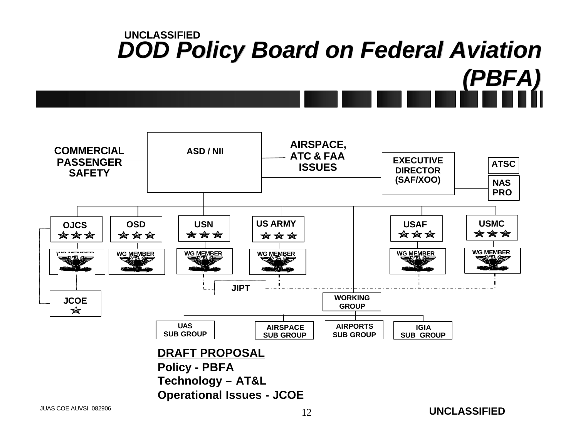![](_page_11_Figure_0.jpeg)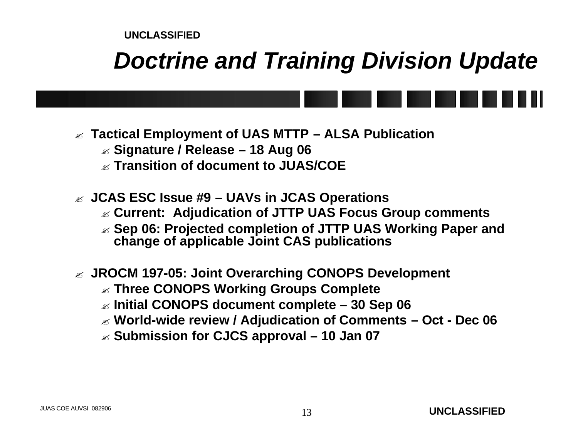### *Doctrine and Training Division Update*

![](_page_12_Figure_2.jpeg)

- ? **Tactical Employment of UAS MTTP – ALSA Publication**
	- ? **Signature / Release – 18 Aug 06**
	- ? **Transition of document to JUAS/COE**
- ? **JCAS ESC Issue #9 – UAVs in JCAS Operations**
	- ? **Current: Adjudication of JTTP UAS Focus Group comments**
	- ? **Sep 06: Projected completion of JTTP UAS Working Paper and change of applicable Joint CAS publications**
- ? **JROCM 197-05: Joint Overarching CONOPS Development**
	- ? **Three CONOPS Working Groups Complete**
	- ? **Initial CONOPS document complete – 30 Sep 06**
	- ? **World-wide review / Adjudication of Comments – Oct - Dec 06**
	- ? **Submission for CJCS approval – 10 Jan 07**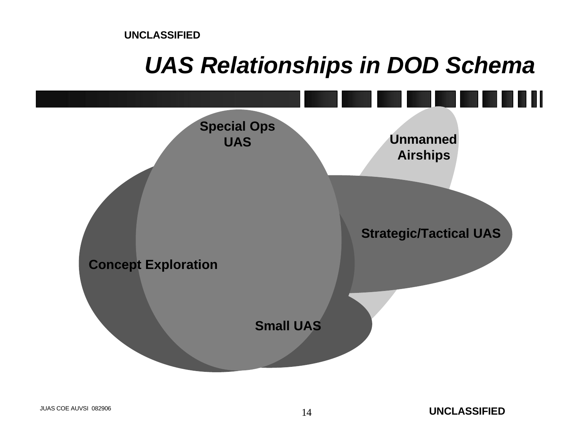### *UAS Relationships in DOD Schema*

![](_page_13_Figure_2.jpeg)

**UNCLASSIFIED**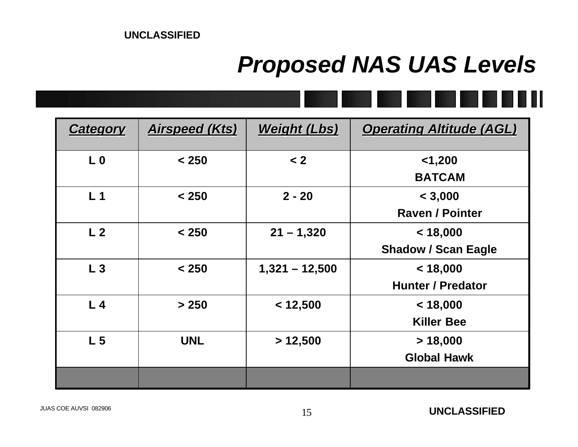### *Proposed NAS UAS Levels*

![](_page_14_Picture_2.jpeg)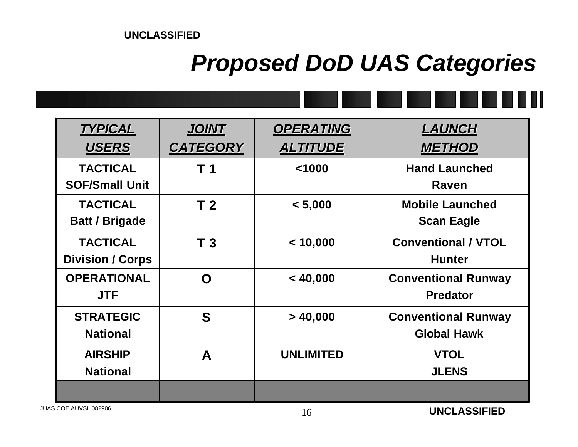### *Proposed DoD UAS Categories*

![](_page_15_Picture_2.jpeg)

| <b>TYPICAL</b>                             | <b>JOINT</b>    | <b>OPERATING</b> | <b>LAUNCH</b>                                    |
|--------------------------------------------|-----------------|------------------|--------------------------------------------------|
| <b>USERS</b>                               | <b>CATEGORY</b> | <b>ALTITUDE</b>  | <b>METHOD</b>                                    |
| <b>TACTICAL</b><br><b>SOF/Small Unit</b>   | T 1             | < 1000           | <b>Hand Launched</b><br>Raven                    |
| <b>TACTICAL</b><br><b>Batt / Brigade</b>   | T <sub>2</sub>  | < 5,000          | <b>Mobile Launched</b><br><b>Scan Eagle</b>      |
| <b>TACTICAL</b><br><b>Division / Corps</b> | T <sub>3</sub>  | < 10,000         | <b>Conventional / VTOL</b><br><b>Hunter</b>      |
| <b>OPERATIONAL</b><br><b>JTF</b>           | O               | < 40,000         | <b>Conventional Runway</b><br><b>Predator</b>    |
| <b>STRATEGIC</b><br><b>National</b>        | S               | > 40,000         | <b>Conventional Runway</b><br><b>Global Hawk</b> |
| <b>AIRSHIP</b><br><b>National</b>          | A               | <b>UNLIMITED</b> | <b>VTOL</b><br><b>JLENS</b>                      |
|                                            |                 |                  |                                                  |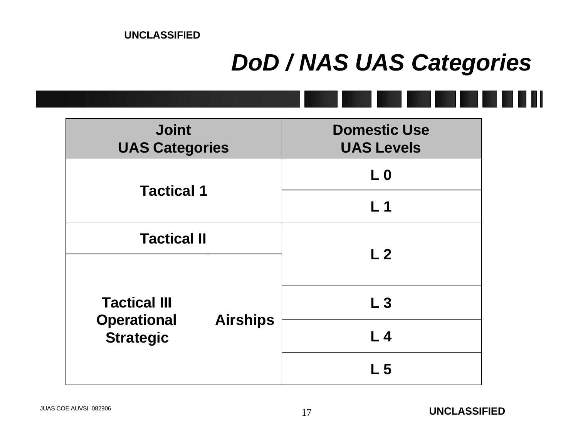### *DoD / NAS UAS Categories*

| <b>Joint</b><br><b>UAS Categories</b>  |                 | <b>Domestic Use</b><br><b>UAS Levels</b> |  |
|----------------------------------------|-----------------|------------------------------------------|--|
|                                        |                 | L <sub>0</sub>                           |  |
| <b>Tactical 1</b>                      |                 | L <sub>1</sub>                           |  |
| <b>Tactical II</b>                     |                 |                                          |  |
|                                        | <b>Airships</b> | L <sub>2</sub>                           |  |
| <b>Tactical III</b>                    |                 | L <sub>3</sub>                           |  |
| <b>Operational</b><br><b>Strategic</b> |                 | L <sub>4</sub>                           |  |
|                                        |                 | L <sub>5</sub>                           |  |
|                                        |                 |                                          |  |

 $\blacksquare$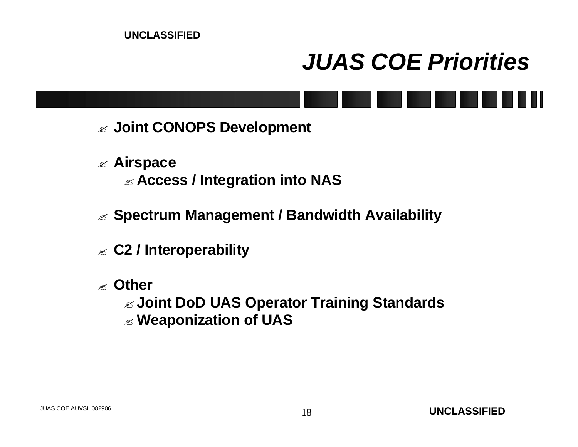### *JUAS COE Priorities*

![](_page_17_Figure_2.jpeg)

- ? **Airspace** ? **Access / Integration into NAS**
- ? **Spectrum Management / Bandwidth Availability**
- ? **C2 / Interoperability**
- ? **Other**

? **Joint DoD UAS Operator Training Standards** ? **Weaponization of UAS**